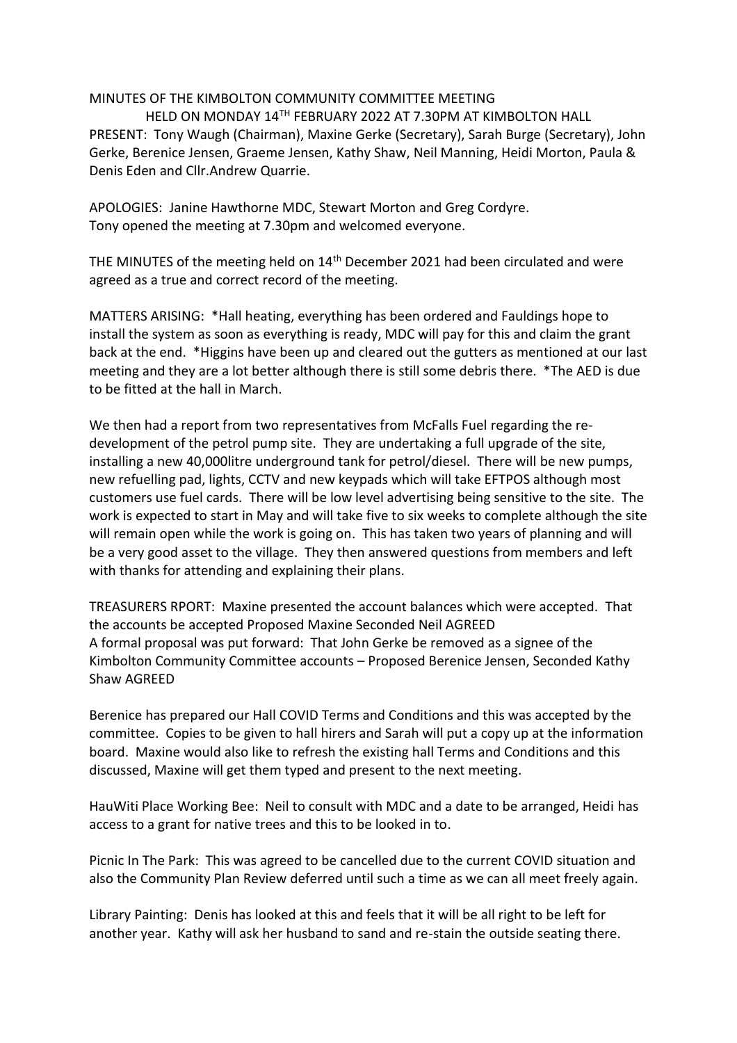## MINUTES OF THE KIMBOLTON COMMUNITY COMMITTEE MEETING

HELD ON MONDAY 14TH FEBRUARY 2022 AT 7.30PM AT KIMBOLTON HALL PRESENT: Tony Waugh (Chairman), Maxine Gerke (Secretary), Sarah Burge (Secretary), John Gerke, Berenice Jensen, Graeme Jensen, Kathy Shaw, Neil Manning, Heidi Morton, Paula & Denis Eden and Cllr.Andrew Quarrie.

APOLOGIES: Janine Hawthorne MDC, Stewart Morton and Greg Cordyre. Tony opened the meeting at 7.30pm and welcomed everyone.

THE MINUTES of the meeting held on 14<sup>th</sup> December 2021 had been circulated and were agreed as a true and correct record of the meeting.

MATTERS ARISING: \*Hall heating, everything has been ordered and Fauldings hope to install the system as soon as everything is ready, MDC will pay for this and claim the grant back at the end. \*Higgins have been up and cleared out the gutters as mentioned at our last meeting and they are a lot better although there is still some debris there. \*The AED is due to be fitted at the hall in March.

We then had a report from two representatives from McFalls Fuel regarding the redevelopment of the petrol pump site. They are undertaking a full upgrade of the site, installing a new 40,000litre underground tank for petrol/diesel. There will be new pumps, new refuelling pad, lights, CCTV and new keypads which will take EFTPOS although most customers use fuel cards. There will be low level advertising being sensitive to the site. The work is expected to start in May and will take five to six weeks to complete although the site will remain open while the work is going on. This has taken two years of planning and will be a very good asset to the village. They then answered questions from members and left with thanks for attending and explaining their plans.

TREASURERS RPORT: Maxine presented the account balances which were accepted. That the accounts be accepted Proposed Maxine Seconded Neil AGREED A formal proposal was put forward: That John Gerke be removed as a signee of the Kimbolton Community Committee accounts – Proposed Berenice Jensen, Seconded Kathy Shaw AGREED

Berenice has prepared our Hall COVID Terms and Conditions and this was accepted by the committee. Copies to be given to hall hirers and Sarah will put a copy up at the information board. Maxine would also like to refresh the existing hall Terms and Conditions and this discussed, Maxine will get them typed and present to the next meeting.

HauWiti Place Working Bee: Neil to consult with MDC and a date to be arranged, Heidi has access to a grant for native trees and this to be looked in to.

Picnic In The Park: This was agreed to be cancelled due to the current COVID situation and also the Community Plan Review deferred until such a time as we can all meet freely again.

Library Painting: Denis has looked at this and feels that it will be all right to be left for another year. Kathy will ask her husband to sand and re-stain the outside seating there.